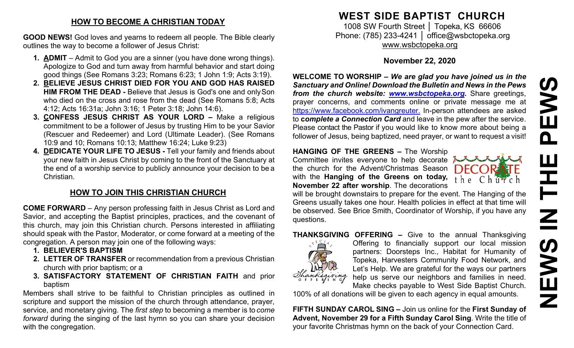#### **HOW TO BECOME A CHRISTIAN TODAY**

**GOOD NEWS!** God loves and yearns to redeem all people. The Bible clearly outlines the way to become a follower of Jesus Christ:

- **1. ADMIT**  Admit to God you are a sinner (you have done wrong things). Apologize to God and turn away from harmful behavior and start doing good things (See Romans 3:23; Romans 6:23; 1 John 1:9; Acts 3:19).
- **2. BELIEVE JESUS CHRIST DIED FOR YOU AND GOD HAS RAISED HIM FROM THE DEAD -** Believe that Jesus is God's one and onlySon who died on the cross and rose from the dead (See Romans 5:8; Acts 4:12; Acts 16:31a; John 3:16; 1 Peter 3:18; John 14:6).
- **3. CONFESS JESUS CHRIST AS YOUR LORD –** Make a religious commitment to be a follower of Jesus by trusting Him to be your Savior (Rescuer and Redeemer) and Lord (Ultimate Leader). (See Romans 10:9 and 10; Romans 10:13; Matthew 16:24; Luke 9:23)
- **4. DEDICATE YOUR LIFE TO JESUS -** Tell your family and friends about your new faith in Jesus Christ by coming to the front of the Sanctuary at the end of a worship service to publicly announce your decision to be a Christian.

# **HOW TO JOIN THIS CHRISTIAN CHURCH**

**COME FORWARD** – Any person professing faith in Jesus Christ as Lord and Savior, and accepting the Baptist principles, practices, and the covenant of this church, may join this Christian church. Persons interested in affiliating should speak with the Pastor, Moderator, or come forward at a meeting of the congregation. A person may join one of the following ways:

- **1. BELIEVER'S BAPTISM**
- **2. LETTER OF TRANSFER** or recommendation from a previous Christian church with prior baptism; or a
- **3. SATISFACTORY STATEMENT OF CHRISTIAN FAITH** and prior baptism

Members shall strive to be faithful to Christian principles as outlined in scripture and support the mission of the church through attendance, prayer, service, and monetary giving. The *first step* to becoming a member is to *come forward* during the singing of the last hymn so you can share your decision with the congregation.

# **WEST SIDE BAPTIST CHURCH**

1008 SW Fourth Street | Topeka, KS 66606 Phone: (785) 233-4241 │ [office@wsbctopeka.org](mailto:office@wsbctopeka.org) [www.wsbctopeka.org](http://www.wsbctopeka.org/)

## **November 22, 2020**

**WELCOME TO WORSHIP –** *We are glad you have joined us in the Sanctuary and Online! Download the Bulletin and News in the Pews from the church website: [www.wsbctopeka.org.](http://www.wsbctopeka.org/)* Share greetings, prayer concerns, and comments online or private message me at <https://www.facebook.com/ivangreuter.> In-person attendees are asked to **c***omplete a Connection Card* and leave in the pew after the service. Please contact the Pastor if you would like to know more about being a follower of Jesus, being baptized, need prayer, or want to request a visit!

#### **HANGING OF THE GREENS –** The Worship

Committee invites everyone to help decorate the church for the Advent/Christmas Season with the **Hanging of the Greens on today, November 22 after worship**. The decorations



will be brought downstairs to prepare for the event. The Hanging of the Greens usually takes one hour. Health policies in effect at that time will be observed. See Brice Smith, Coordinator of Worship, if you have any questions.

### **THANKSGIVING OFFERING –** Give to the annual Thanksgiving



Offering to financially support our local mission partners: Doorsteps Inc., Habitat for Humanity of Topeka, Harvesters Community Food Network, and Let's Help. We are grateful for the ways our partners help us serve our neighbors and families in need. Make checks payable to West Side Baptist Church.

100% of all donations will be given to each agency in equal amounts.

**FIFTH SUNDAY CAROL SING –** Join us online for the **First Sunday of Advent, November 29 for a Fifth Sunday Carol Sing**. Write the title of your favorite Christmas hymn on the back of your Connection Card.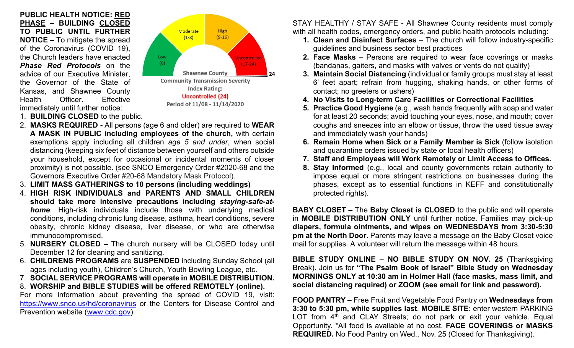**PUBLIC HEALTH NOTICE: RED PHASE – BUILDING CLOSED TO PUBLIC UNTIL FURTHER NOTICE –** To mitigate the spread of the Coronavirus (COVID 19), the Church leaders have enacted *Phase Red Protocols* on the advice of our Executive Minister, the Governor of the State of Kansas, and Shawnee County Health Officer. Effective immediately until further notice:



- 1. **BUILDING CLOSED** to the public.
- 2. **MASKS REQUIRED -** All persons (age 6 and older) are required to **WEAR A MASK IN PUBLIC including employees of the church,** with certain exemptions apply including all children *age 5 and under*, when social distancing (keeping six feet of distance between yourself and others outside your household, except for occasional or incidental moments of closer proximity) is not possible. (see SNCO Emergency Order #2020-68 and the Governors Executive Order #20-68 Mandatory Mask Protocol).
- 3. **LIMIT MASS GATHERINGS to 10 persons (including weddings)**
- 4. **HIGH RISK INDIVIDUALS and PARENTS AND SMALL CHILDREN should take more intensive precautions including** *staying-safe-athome*. High-risk individuals include those with underlying medical conditions, including chronic lung disease, asthma, heart conditions, severe obesity, chronic kidney disease, liver disease, or who are otherwise immunocompromised.
- 5. **NURSERY CLOSED –** The church nursery will be CLOSED today until December 12 for cleaning and sanitizing.
- 6. **CHILDRENS PROGRAMS** are **SUSPENDED** including Sunday School (all ages including youth), Children's Church, Youth Bowling League, etc.
- 7. **SOCIAL SERVICE PROGRAMS will operate in MOBILE DISTRIBUTION.**
- 8. **WORSHIP and BIBLE STUDIES will be offered REMOTELY (online).**

For more information about preventing the spread of COVID 19, visit: <https://www.snco.us/hd/coronavirus> or the Centers for Disease Control and Prevention website [\(www.cdc.gov\)](http://www.cdc.gov/).

STAY HEALTHY / STAY SAFE - All Shawnee County residents must comply with all health codes, emergency orders, and public health protocols including:

- **1. Clean and Disinfect Surfaces** The church will follow industry-specific guidelines and business sector best practices
- **2. Face Masks** Persons are required to wear face coverings or masks (bandanas, gaiters, and masks with valves or vents do not qualify)
- **3. Maintain Social Distancing** (individual or family groups must stay at least 6' feet apart; refrain from hugging, shaking hands, or other forms of contact; no greeters or ushers)
- **4. No Visits to Long-term Care Facilities or Correctional Facilities**
- **5. Practice Good Hygiene** (e.g., wash hands frequently with soap and water for at least 20 seconds; avoid touching your eyes, nose, and mouth; cover coughs and sneezes into an elbow or tissue, throw the used tissue away and immediately wash your hands)
- **6. Remain Home when Sick or a Family Member is Sick** (follow isolation and quarantine orders issued by state or local health officers)
- **7. Staff and Employees will Work Remotely or Limit Access to Offices.**
- **8. Stay Informed** (e.g., local and county governments retain authority to impose equal or more stringent restrictions on businesses during the phases, except as to essential functions in KEFF and constitutionally protected rights).

**BABY CLOSET –** The **Baby Closet is CLOSED** to the public and will operate in **MOBILE DISTRIBUTION ONLY** until further notice. Families may pick-up **diapers, formula ointments, and wipes on WEDNESDAYS from 3:30-5:30 pm at the North Door.** Parents may leave a message on the Baby Closet voice mail for supplies. A volunteer will return the message within 48 hours.

**BIBLE STUDY ONLINE** – **NO BIBLE STUDY ON NOV. 25** (Thanksgiving Break). Join us for **"The Psalm Book of Israel" Bible Study on Wednesday MORNINGS ONLY at 10:30 am in Holmer Hall (face masks, mass limit, and social distancing required) or ZOOM (see email for link and password).** 

**FOOD PANTRY –** Free Fruit and Vegetable Food Pantry on **Wednesdays from 3:30 to 5:30 pm, while supplies last**. **MOBILE SITE**: enter western PARKING LOT from  $4<sup>th</sup>$  and CLAY Streets; do not park or exit your vehicle. Equal Opportunity. \*All food is available at no cost. **FACE COVERINGS or MASKS REQUIRED.** No Food Pantry on Wed., Nov. 25 (Closed for Thanksgiving).